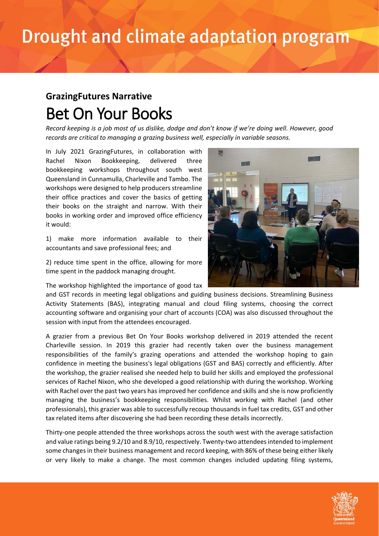## Drought and climate adaptation program

## **GrazingFutures Narrative** Bet On Your Books

*Record keeping is a job most of us dislike, dodge and don't know if we're doing well. However, good records are critical to managing a grazing business well, especially in variable seasons.*

In July 2021 GrazingFutures, in collaboration with Rachel Nixon Bookkeeping, delivered three bookkeeping workshops throughout south west Queensland in Cunnamulla, Charleville and Tambo. The workshops were designed to help producers streamline their office practices and cover the basics of getting their books on the straight and narrow. With their books in working order and improved office efficiency it would:

1) make more information available to their accountants and save professional fees; and

2) reduce time spent in the office, allowing for more time spent in the paddock managing drought.

The workshop highlighted the importance of good tax

and GST records in meeting legal obligations and guiding business decisions. Streamlining Business Activity Statements (BAS), integrating manual and cloud filing systems, choosing the correct accounting software and organising your chart of accounts (COA) was also discussed throughout the session with input from the attendees encouraged.

A grazier from a previous Bet On Your Books workshop delivered in 2019 attended the recent Charleville session. In 2019 this grazier had recently taken over the business management responsibilities of the family's grazing operations and attended the workshop hoping to gain confidence in meeting the business's legal obligations (GST and BAS) correctly and efficiently. After the workshop, the grazier realised she needed help to build her skills and employed the professional services of Rachel Nixon, who she developed a good relationship with during the workshop. Working with Rachel over the past two years has improved her confidence and skills and she is now proficiently managing the business's bookkeeping responsibilities. Whilst working with Rachel (and other professionals), this grazier was able to successfully recoup thousands in fuel tax credits, GST and other tax related items after discovering she had been recording these details incorrectly.

Thirty-one people attended the three workshops across the south west with the average satisfaction and value ratings being 9.2/10 and 8.9/10, respectively. Twenty-two attendees intended to implement some changes in their business management and record keeping, with 86% of these being either likely or very likely to make a change. The most common changes included updating filing systems,